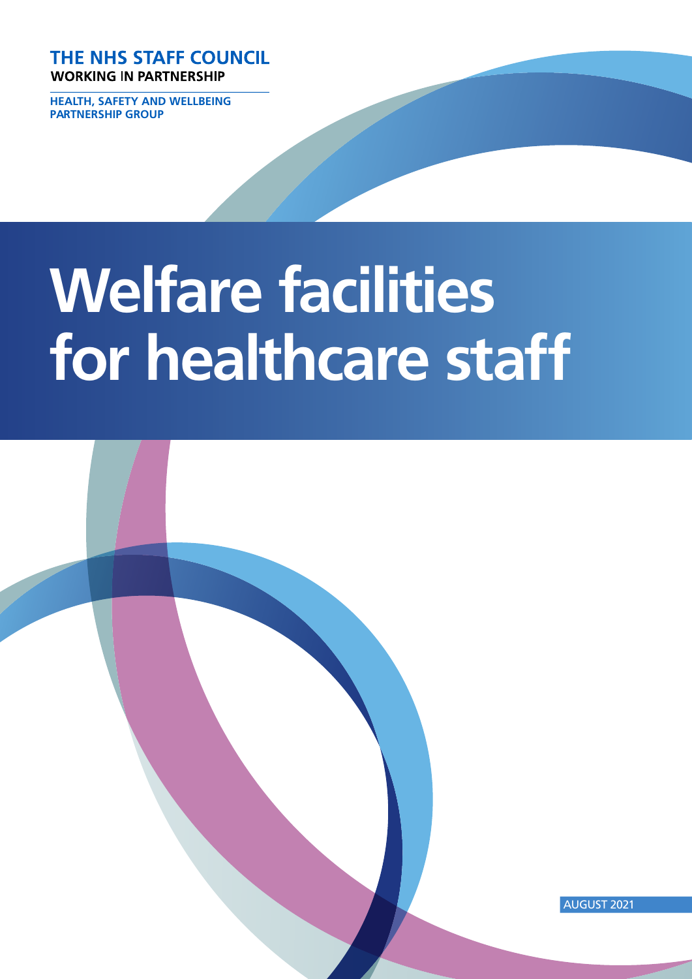**THE NHS STAFF COUNCIL WORKING IN PARTNERSHIP** 

**HEALTH, SAFETY AND WELLBEING PARTNERSHIP GROUP**

# **Welfare facilities for healthcare staff**

AUGUST 2021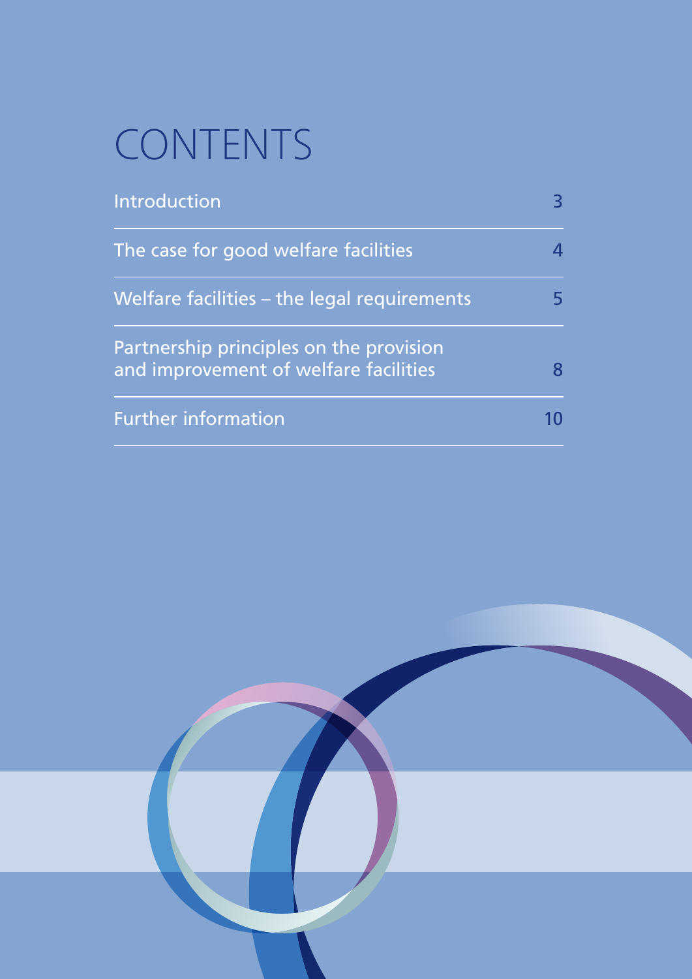# CONTENTS

| <b>Introduction</b>                                                              | 3  |
|----------------------------------------------------------------------------------|----|
| The case for good welfare facilities                                             | 4  |
| Welfare facilities – the legal requirements                                      | 5. |
| Partnership principles on the provision<br>and improvement of welfare facilities | 8  |
| <b>Further information</b>                                                       |    |

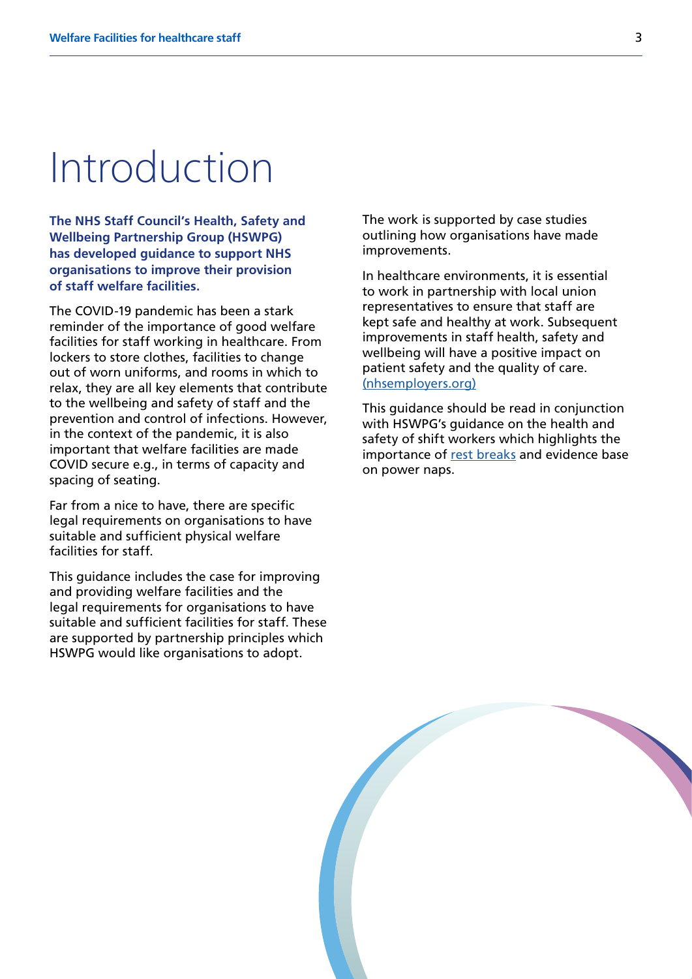### Introduction

**The NHS Staff Council's Health, Safety and Wellbeing Partnership Group (HSWPG) has developed guidance to support NHS organisations to improve their provision of staff welfare facilities.**

The COVID-19 pandemic has been a stark reminder of the importance of good welfare facilities for staff working in healthcare. From lockers to store clothes, facilities to change out of worn uniforms, and rooms in which to relax, they are all key elements that contribute to the wellbeing and safety of staff and the prevention and control of infections. However, in the context of the pandemic, it is also important that welfare facilities are made COVID secure e.g., in terms of capacity and spacing of seating.

Far from a nice to have, there are specific legal requirements on organisations to have suitable and sufficient physical welfare facilities for staff.

This guidance includes the case for improving and providing welfare facilities and the legal requirements for organisations to have suitable and sufficient facilities for staff. These are supported by partnership principles which HSWPG would like organisations to adopt.

The work is supported by case studies outlining how organisations have made improvements.

In healthcare environments, it is essential to work in partnership with local union representatives to ensure that staff are kept safe and healthy at work. Subsequent improvements in staff health, safety and wellbeing will have a positive impact on patient safety and the quality of care. [\(nhsemployers.org\)](https://www.nhsemployers.org/sites/default/files/2021-08/The%20importance%20of%20effective%20partnership%20working%20final%20for%20website%2022%20MayV2.pdf)

This guidance should be read in conjunction with HSWPG's quidance on the health and safety of shift workers which highlights the importance of [rest breaks](https://www.nhsemployers.org/publications/supporting-wellbeing-shift-workers-healthcare) and evidence base on power naps.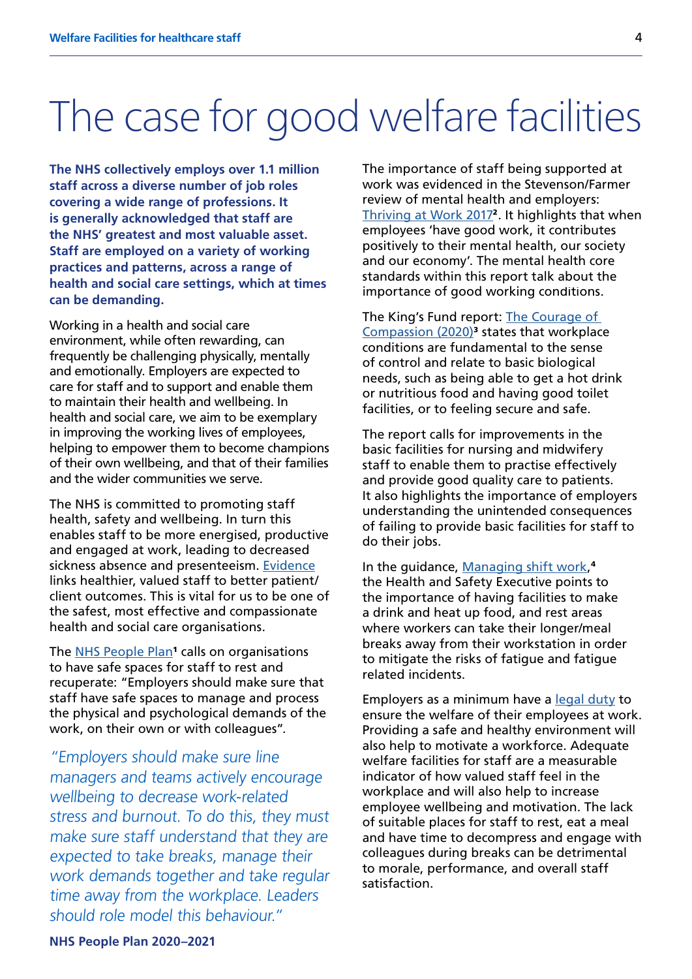### The case for good welfare facilities

**The NHS collectively employs over 1.1 million staff across a diverse number of job roles covering a wide range of professions. It is generally acknowledged that staff are the NHS' greatest and most valuable asset. Staff are employed on a variety of working practices and patterns, across a range of health and social care settings, which at times can be demanding.** 

Working in a health and social care environment, while often rewarding, can frequently be challenging physically, mentally and emotionally. Employers are expected to care for staff and to support and enable them to maintain their health and wellbeing. In health and social care, we aim to be exemplary in improving the working lives of employees, helping to empower them to become champions of their own wellbeing, and that of their families and the wider communities we serve.

The NHS is committed to promoting staff health, safety and wellbeing. In turn this enables staff to be more energised, productive and engaged at work, leading to decreased sickness absence and presenteeism. [Evidence](https://www.england.nhs.uk/wp-content/uploads/2018/02/links-between-nhs-staff-experience-and-patient-satisfaction-1.pdf) links healthier, valued staff to better patient/ client outcomes. This is vital for us to be one of the safest, most effective and compassionate health and social care organisations.

The [NHS People Plan](https://www.england.nhs.uk/ournhspeople/)<sup>1</sup> calls on organisations to have safe spaces for staff to rest and recuperate: "Employers should make sure that staff have safe spaces to manage and process the physical and psychological demands of the work, on their own or with colleagues".

"Employers should make sure line managers and teams actively encourage wellbeing to decrease work-related stress and burnout. To do this, they must make sure staff understand that they are expected to take breaks, manage their work demands together and take regular time away from the workplace. Leaders should role model this behaviour."

The importance of staff being supported at work was evidenced in the Stevenson/Farmer review of mental health and employers: [Thriving at Work 2017](https://www.gov.uk/government/publications/thriving-at-work-a-review-of-mental-health-and-employers)<sup>2</sup>. It highlights that when employees 'have good work, it contributes positively to their mental health, our society and our economy'. The mental health core standards within this report talk about the importance of good working conditions.

The King's Fund report: The Courage of [Compassion \(2020\)](https://www.kingsfund.org.uk/sites/default/files/2020-09/The%20courage%20of%20compassion%20full%20report_0.pdf)<sup>3</sup> states that workplace conditions are fundamental to the sense of control and relate to basic biological needs, such as being able to get a hot drink or nutritious food and having good toilet facilities, or to feeling secure and safe.

The report calls for improvements in the basic facilities for nursing and midwifery staff to enable them to practise effectively and provide good quality care to patients. It also highlights the importance of employers understanding the unintended consequences of failing to provide basic facilities for staff to do their jobs.

In the guidance, [Managing shift work](https://www.hse.gov.uk/pubns/priced/hsg256.pdf),<sup>4</sup> the Health and Safety Executive points to the importance of having facilities to make a drink and heat up food, and rest areas where workers can take their longer/meal breaks away from their workstation in order to mitigate the risks of fatigue and fatigue related incidents.

Employers as a minimum have a [legal duty](https://www.hse.gov.uk/pubns/indg244.pdf) to ensure the welfare of their employees at work. Providing a safe and healthy environment will also help to motivate a workforce. Adequate welfare facilities for staff are a measurable indicator of how valued staff feel in the workplace and will also help to increase employee wellbeing and motivation. The lack of suitable places for staff to rest, eat a meal and have time to decompress and engage with colleagues during breaks can be detrimental to morale, performance, and overall staff satisfaction.

#### **NHS People Plan 2020–2021**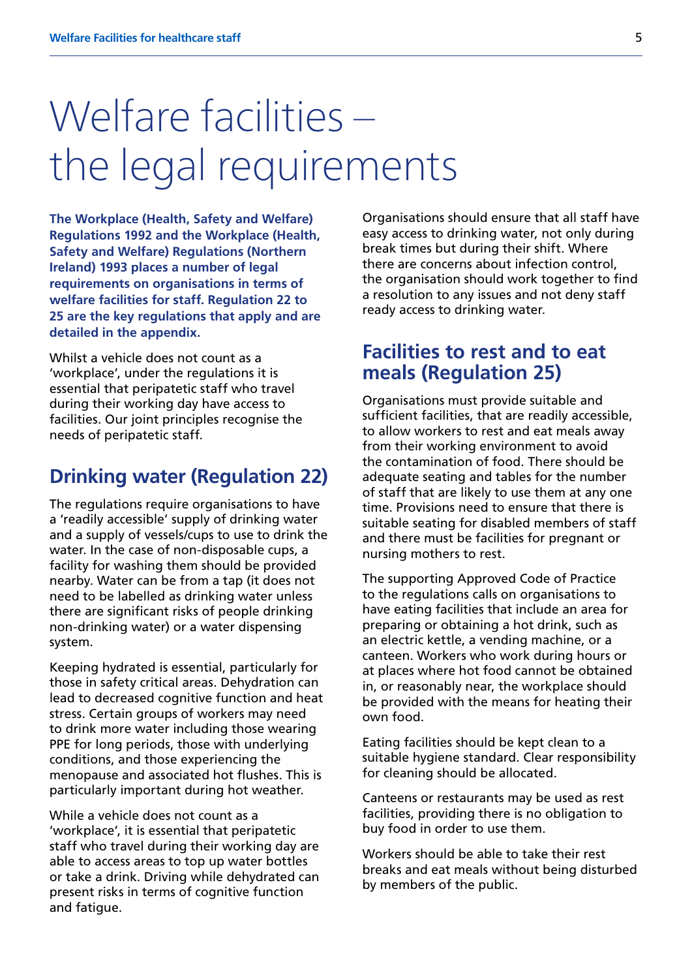# Welfare facilities – the legal requirements

**The Workplace (Health, Safety and Welfare) Regulations 1992 and the Workplace (Health, Safety and Welfare) Regulations (Northern Ireland) 1993 places a number of legal requirements on organisations in terms of welfare facilities for staff. Regulation 22 to 25 are the key regulations that apply and are detailed in the appendix.**

Whilst a vehicle does not count as a 'workplace', under the regulations it is essential that peripatetic staff who travel during their working day have access to facilities. Our joint principles recognise the needs of peripatetic staff.

#### **Drinking water (Regulation 22)**

The regulations require organisations to have a 'readily accessible' supply of drinking water and a supply of vessels/cups to use to drink the water. In the case of non-disposable cups, a facility for washing them should be provided nearby. Water can be from a tap (it does not need to be labelled as drinking water unless there are significant risks of people drinking non-drinking water) or a water dispensing system.

Keeping hydrated is essential, particularly for those in safety critical areas. Dehydration can lead to decreased cognitive function and heat stress. Certain groups of workers may need to drink more water including those wearing PPE for long periods, those with underlying conditions, and those experiencing the menopause and associated hot flushes. This is particularly important during hot weather.

While a vehicle does not count as a 'workplace', it is essential that peripatetic staff who travel during their working day are able to access areas to top up water bottles or take a drink. Driving while dehydrated can present risks in terms of cognitive function and fatigue.

Organisations should ensure that all staff have easy access to drinking water, not only during break times but during their shift. Where there are concerns about infection control, the organisation should work together to find a resolution to any issues and not deny staff ready access to drinking water.

#### **Facilities to rest and to eat meals (Regulation 25)**

Organisations must provide suitable and sufficient facilities, that are readily accessible, to allow workers to rest and eat meals away from their working environment to avoid the contamination of food. There should be adequate seating and tables for the number of staff that are likely to use them at any one time. Provisions need to ensure that there is suitable seating for disabled members of staff and there must be facilities for pregnant or nursing mothers to rest.

The supporting Approved Code of Practice to the regulations calls on organisations to have eating facilities that include an area for preparing or obtaining a hot drink, such as an electric kettle, a vending machine, or a canteen. Workers who work during hours or at places where hot food cannot be obtained in, or reasonably near, the workplace should be provided with the means for heating their own food.

Eating facilities should be kept clean to a suitable hygiene standard. Clear responsibility for cleaning should be allocated.

Canteens or restaurants may be used as rest facilities, providing there is no obligation to buy food in order to use them.

Workers should be able to take their rest breaks and eat meals without being disturbed by members of the public.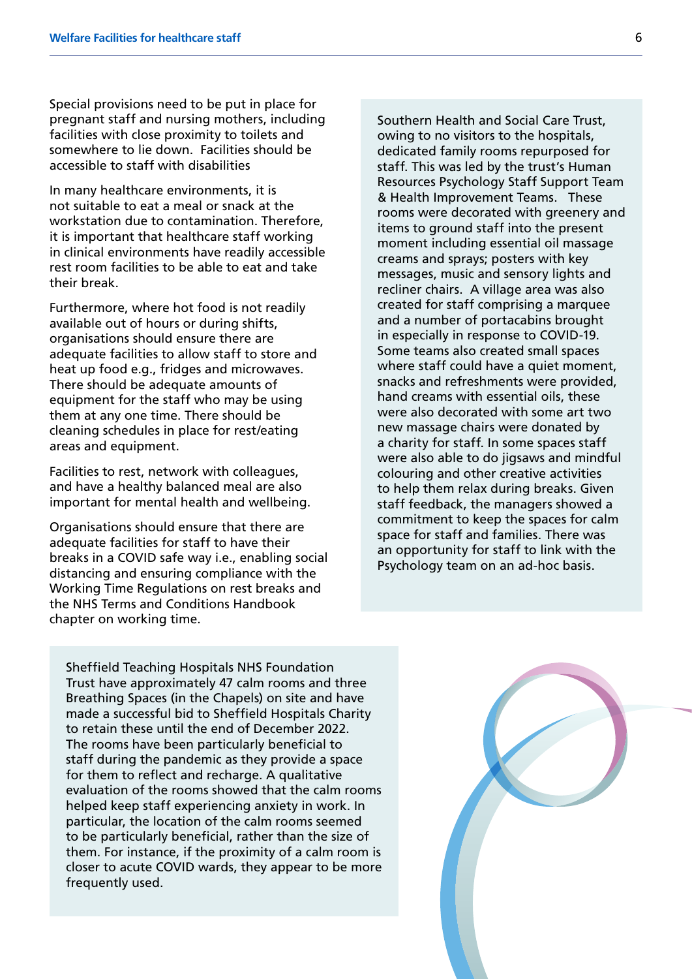Special provisions need to be put in place for pregnant staff and nursing mothers, including facilities with close proximity to toilets and somewhere to lie down. Facilities should be accessible to staff with disabilities

In many healthcare environments, it is not suitable to eat a meal or snack at the workstation due to contamination. Therefore, it is important that healthcare staff working in clinical environments have readily accessible rest room facilities to be able to eat and take their break.

Furthermore, where hot food is not readily available out of hours or during shifts, organisations should ensure there are adequate facilities to allow staff to store and heat up food e.g., fridges and microwaves. There should be adequate amounts of equipment for the staff who may be using them at any one time. There should be cleaning schedules in place for rest/eating areas and equipment.

Facilities to rest, network with colleagues, and have a healthy balanced meal are also important for mental health and wellbeing.

Organisations should ensure that there are adequate facilities for staff to have their breaks in a COVID safe way i.e., enabling social distancing and ensuring compliance with the Working Time Regulations on rest breaks and the NHS Terms and Conditions Handbook chapter on working time.

Southern Health and Social Care Trust, owing to no visitors to the hospitals, dedicated family rooms repurposed for staff. This was led by the trust's Human Resources Psychology Staff Support Team & Health Improvement Teams. These rooms were decorated with greenery and items to ground staff into the present moment including essential oil massage creams and sprays; posters with key messages, music and sensory lights and recliner chairs. A village area was also created for staff comprising a marquee and a number of portacabins brought in especially in response to COVID-19. Some teams also created small spaces where staff could have a quiet moment, snacks and refreshments were provided, hand creams with essential oils, these were also decorated with some art two new massage chairs were donated by a charity for staff. In some spaces staff were also able to do jigsaws and mindful colouring and other creative activities to help them relax during breaks. Given staff feedback, the managers showed a commitment to keep the spaces for calm space for staff and families. There was an opportunity for staff to link with the Psychology team on an ad-hoc basis.

Sheffield Teaching Hospitals NHS Foundation Trust have approximately 47 calm rooms and three Breathing Spaces (in the Chapels) on site and have made a successful bid to Sheffield Hospitals Charity to retain these until the end of December 2022. The rooms have been particularly beneficial to staff during the pandemic as they provide a space for them to reflect and recharge. A qualitative evaluation of the rooms showed that the calm rooms helped keep staff experiencing anxiety in work. In particular, the location of the calm rooms seemed to be particularly beneficial, rather than the size of them. For instance, if the proximity of a calm room is closer to acute COVID wards, they appear to be more frequently used.

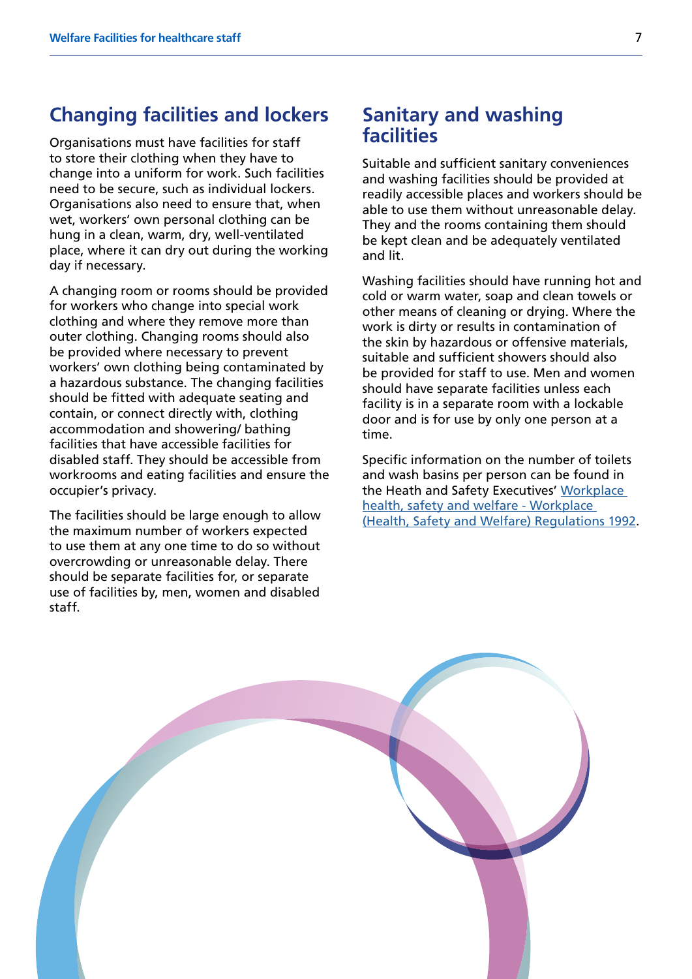#### **Changing facilities and lockers**

Organisations must have facilities for staff to store their clothing when they have to change into a uniform for work. Such facilities need to be secure, such as individual lockers. Organisations also need to ensure that, when wet, workers' own personal clothing can be hung in a clean, warm, dry, well-ventilated place, where it can dry out during the working day if necessary.

A changing room or rooms should be provided for workers who change into special work clothing and where they remove more than outer clothing. Changing rooms should also be provided where necessary to prevent workers' own clothing being contaminated by a hazardous substance. The changing facilities should be fitted with adequate seating and contain, or connect directly with, clothing accommodation and showering/ bathing facilities that have accessible facilities for disabled staff. They should be accessible from workrooms and eating facilities and ensure the occupier's privacy.

The facilities should be large enough to allow the maximum number of workers expected to use them at any one time to do so without overcrowding or unreasonable delay. There should be separate facilities for, or separate use of facilities by, men, women and disabled staff.

#### **Sanitary and washing facilities**

Suitable and sufficient sanitary conveniences and washing facilities should be provided at readily accessible places and workers should be able to use them without unreasonable delay. They and the rooms containing them should be kept clean and be adequately ventilated and lit.

Washing facilities should have running hot and cold or warm water, soap and clean towels or other means of cleaning or drying. Where the work is dirty or results in contamination of the skin by hazardous or offensive materials, suitable and sufficient showers should also be provided for staff to use. Men and women should have separate facilities unless each facility is in a separate room with a lockable door and is for use by only one person at a time.

Specific information on the number of toilets and wash basins per person can be found in the Heath and Safety Executives' [Workplace](http://www.hse.gov.uk/pubns/priced/l24.pdf)  [health, safety and welfare - Workplace](http://www.hse.gov.uk/pubns/priced/l24.pdf)  [\(Health, Safety and Welfare\) Regulations 1992](http://www.hse.gov.uk/pubns/priced/l24.pdf).

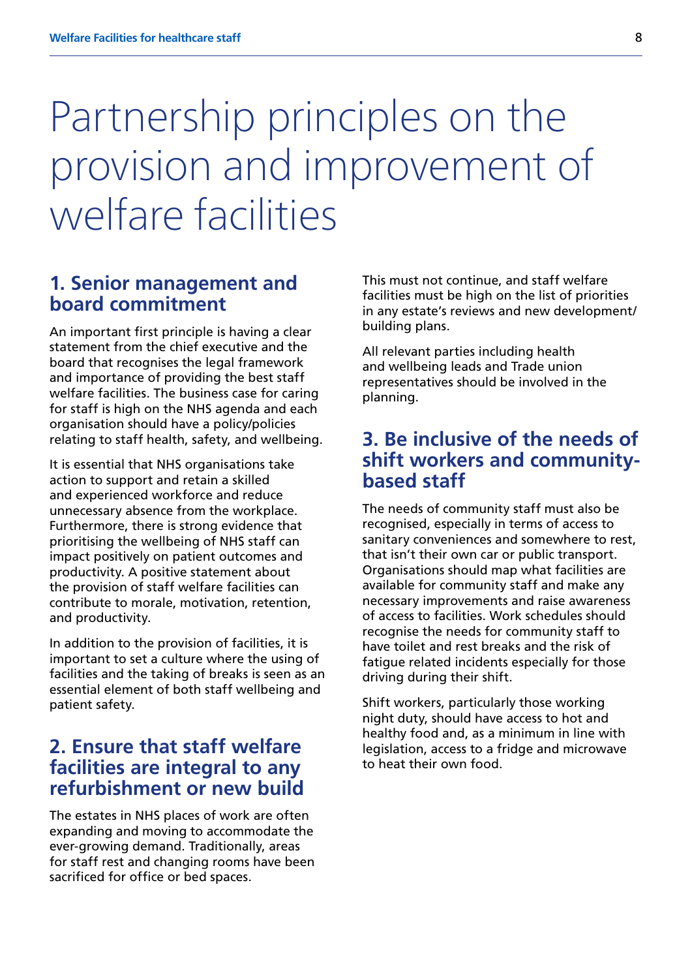# Partnership principles on the provision and improvement of welfare facilities

#### **1. Senior management and board commitment**

An important first principle is having a clear statement from the chief executive and the board that recognises the legal framework and importance of providing the best staff welfare facilities. The business case for caring for staff is high on the NHS agenda and each organisation should have a policy/policies relating to staff health, safety, and wellbeing.

It is essential that NHS organisations take action to support and retain a skilled and experienced workforce and reduce unnecessary absence from the workplace. Furthermore, there is strong evidence that prioritising the wellbeing of NHS staff can impact positively on patient outcomes and productivity. A positive statement about the provision of staff welfare facilities can contribute to morale, motivation, retention, and productivity.

In addition to the provision of facilities, it is important to set a culture where the using of facilities and the taking of breaks is seen as an essential element of both staff wellbeing and patient safety.

#### **2. Ensure that staff welfare facilities are integral to any refurbishment or new build**

The estates in NHS places of work are often expanding and moving to accommodate the ever-growing demand. Traditionally, areas for staff rest and changing rooms have been sacrificed for office or bed spaces.

This must not continue, and staff welfare facilities must be high on the list of priorities in any estate's reviews and new development/ building plans.

All relevant parties including health and wellbeing leads and Trade union representatives should be involved in the planning.

#### **3. Be inclusive of the needs of shift workers and communitybased staff**

The needs of community staff must also be recognised, especially in terms of access to sanitary conveniences and somewhere to rest, that isn't their own car or public transport. Organisations should map what facilities are available for community staff and make any necessary improvements and raise awareness of access to facilities. Work schedules should recognise the needs for community staff to have toilet and rest breaks and the risk of fatigue related incidents especially for those driving during their shift.

Shift workers, particularly those working night duty, should have access to hot and healthy food and, as a minimum in line with legislation, access to a fridge and microwave to heat their own food.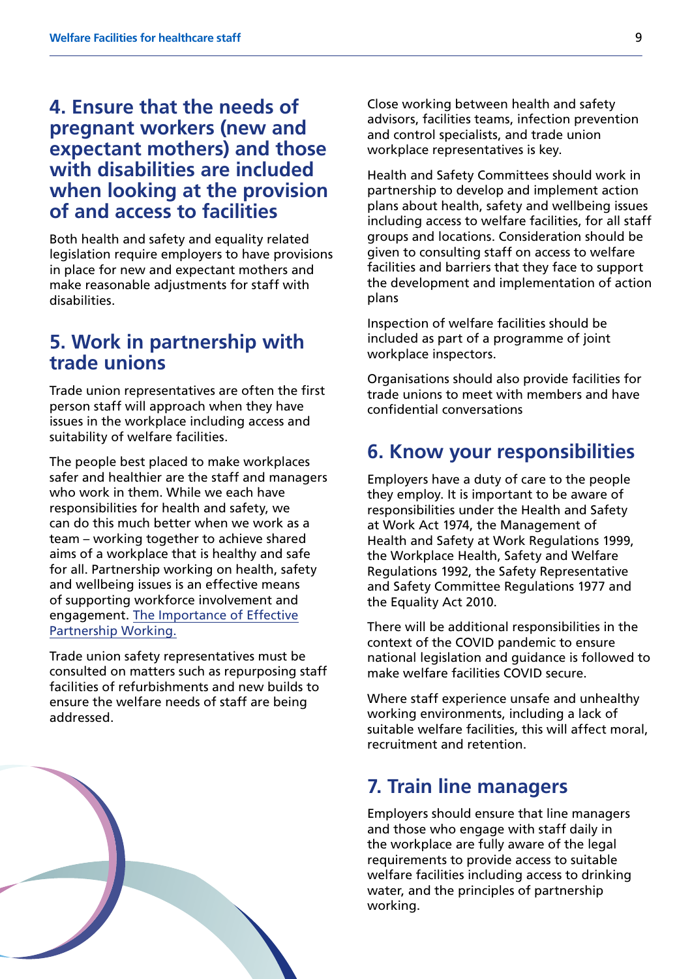#### **4. Ensure that the needs of pregnant workers (new and expectant mothers) and those with disabilities are included when looking at the provision of and access to facilities**

Both health and safety and equality related legislation require employers to have provisions in place for new and expectant mothers and make reasonable adjustments for staff with disabilities.

#### **5. Work in partnership with trade unions**

Trade union representatives are often the first person staff will approach when they have issues in the workplace including access and suitability of welfare facilities.

The people best placed to make workplaces safer and healthier are the staff and managers who work in them. While we each have responsibilities for health and safety, we can do this much better when we work as a team – working together to achieve shared aims of a workplace that is healthy and safe for all. Partnership working on health, safety and wellbeing issues is an effective means of supporting workforce involvement and engagement. [The Importance of Effective](https://www.nhsemployers.org/sites/default/files/2021-08/The importance of effective partnership working final for website 22 MayV2.pdf)  Partnership Working.

Trade union safety representatives must be consulted on matters such as repurposing staff facilities of refurbishments and new builds to ensure the welfare needs of staff are being addressed.



Close working between health and safety advisors, facilities teams, infection prevention and control specialists, and trade union workplace representatives is key.

Health and Safety Committees should work in partnership to develop and implement action plans about health, safety and wellbeing issues including access to welfare facilities, for all staff groups and locations. Consideration should be given to consulting staff on access to welfare facilities and barriers that they face to support the development and implementation of action plans

Inspection of welfare facilities should be included as part of a programme of joint workplace inspectors.

Organisations should also provide facilities for trade unions to meet with members and have confidential conversations

#### **6. Know your responsibilities**

Employers have a duty of care to the people they employ. It is important to be aware of responsibilities under the Health and Safety at Work Act 1974, the Management of Health and Safety at Work Regulations 1999, the Workplace Health, Safety and Welfare Regulations 1992, the Safety Representative and Safety Committee Regulations 1977 and the Equality Act 2010.

There will be additional responsibilities in the context of the COVID pandemic to ensure national legislation and guidance is followed to make welfare facilities COVID secure.

Where staff experience unsafe and unhealthy working environments, including a lack of suitable welfare facilities, this will affect moral, recruitment and retention.

#### **7. Train line managers**

Employers should ensure that line managers and those who engage with staff daily in the workplace are fully aware of the legal requirements to provide access to suitable welfare facilities including access to drinking water, and the principles of partnership working.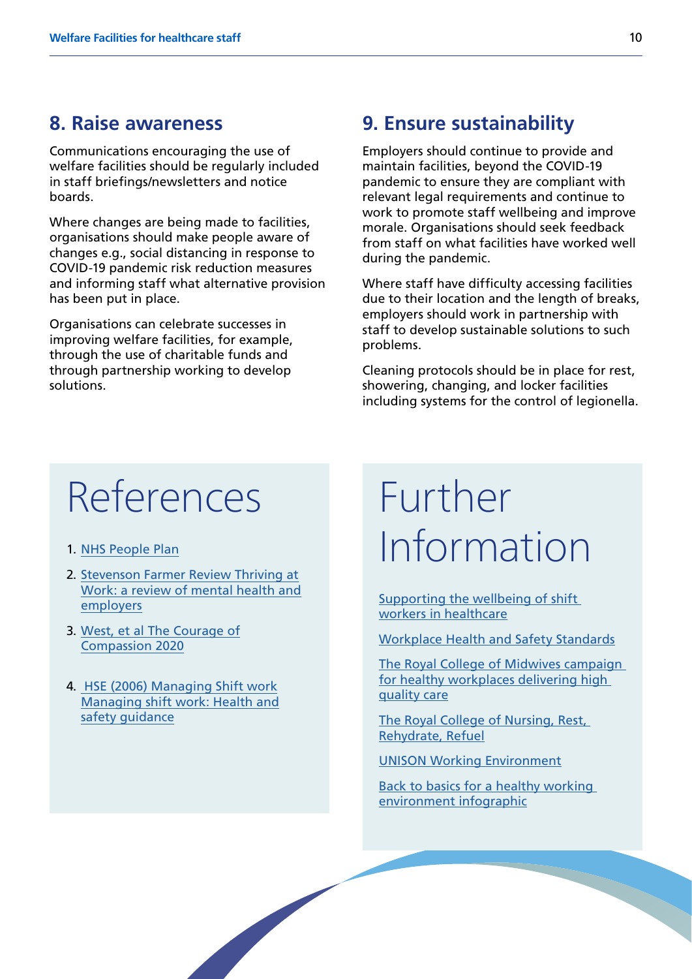#### **8. Raise awareness**

Communications encouraging the use of welfare facilities should be regularly included in staff briefings/newsletters and notice boards.

Where changes are being made to facilities, organisations should make people aware of changes e.g., social distancing in response to COVID-19 pandemic risk reduction measures and informing staff what alternative provision has been put in place.

Organisations can celebrate successes in improving welfare facilities, for example, through the use of charitable funds and through partnership working to develop solutions.

#### **9. Ensure sustainability**

Employers should continue to provide and maintain facilities, beyond the COVID-19 pandemic to ensure they are compliant with relevant legal requirements and continue to work to promote staff wellbeing and improve morale. Organisations should seek feedback from staff on what facilities have worked well during the pandemic.

Where staff have difficulty accessing facilities due to their location and the length of breaks, employers should work in partnership with staff to develop sustainable solutions to such problems.

Cleaning protocols should be in place for rest, showering, changing, and locker facilities including systems for the control of legionella.

### References

- 1. [NHS People Plan](https://www.england.nhs.uk/ournhspeople/)
- 2. [Stevenson Farmer Review Thriving at](https://www.gov.uk/government/publications/thriving-at-work-a-review-of-mental-health-and-employers) [Work: a review of mental health and](https://www.gov.uk/government/publications/thriving-at-work-a-review-of-mental-health-and-employers) [employers](https://www.gov.uk/government/publications/thriving-at-work-a-review-of-mental-health-and-employers)
- 3. [West, et al The Courage of](https://www.kingsfund.org.uk/publications/courage-compassion-supporting-nurses-midwives) [Compassion 2020](https://www.kingsfund.org.uk/publications/courage-compassion-supporting-nurses-midwives)
- 4. [HSE \(2006\) Managing Shift work](https://www.hse.gov.uk/pubns/books/hsg256.htm) [Managing shift work: Health and](https://www.hse.gov.uk/pubns/books/hsg256.htm) [safety guidanc](https://www.hse.gov.uk/pubns/books/hsg256.htm)e

### Further Information

[Supporting the wellbeing of shift](https://www.nhsemployers.org/sites/default/files/media/Supporting-the-wellbeing-of-shiftworkers-in-healthcare_0.pdf)  [workers in healthcare](https://www.nhsemployers.org/sites/default/files/media/Supporting-the-wellbeing-of-shiftworkers-in-healthcare_0.pdf)

[Workplace Health and Safety Standards](https://www.hse.gov.uk/healthservices/hswpg.htm)

[The Royal College of Midwives campaign](https://www.rcm.org.uk/media/2899/caring-for-you-working-in-partnership-rcm-campaign-for-healthy-workplaces-delivering-high-quality-care.pdf)  [for healthy workplaces delivering high](https://www.rcm.org.uk/media/2899/caring-for-you-working-in-partnership-rcm-campaign-for-healthy-workplaces-delivering-high-quality-care.pdf)  [quality care](https://www.rcm.org.uk/media/2899/caring-for-you-working-in-partnership-rcm-campaign-for-healthy-workplaces-delivering-high-quality-care.pdf)

The Royal College of Nursing, Rest, Rehydrate, Refuel

[UNISON Working Environment](https://www.unison.org.uk/get-help/knowledge/health-and-safety/working-environment/)

[Back to basics for a healthy working](https://www.nhsemployers.org/-/media/Employers/Documents/Retain-and-improve/Health-and-wellbeing/NHS_Infographics_BacktoBasics.pdf)  [environment infographic](https://www.nhsemployers.org/-/media/Employers/Documents/Retain-and-improve/Health-and-wellbeing/NHS_Infographics_BacktoBasics.pdf)